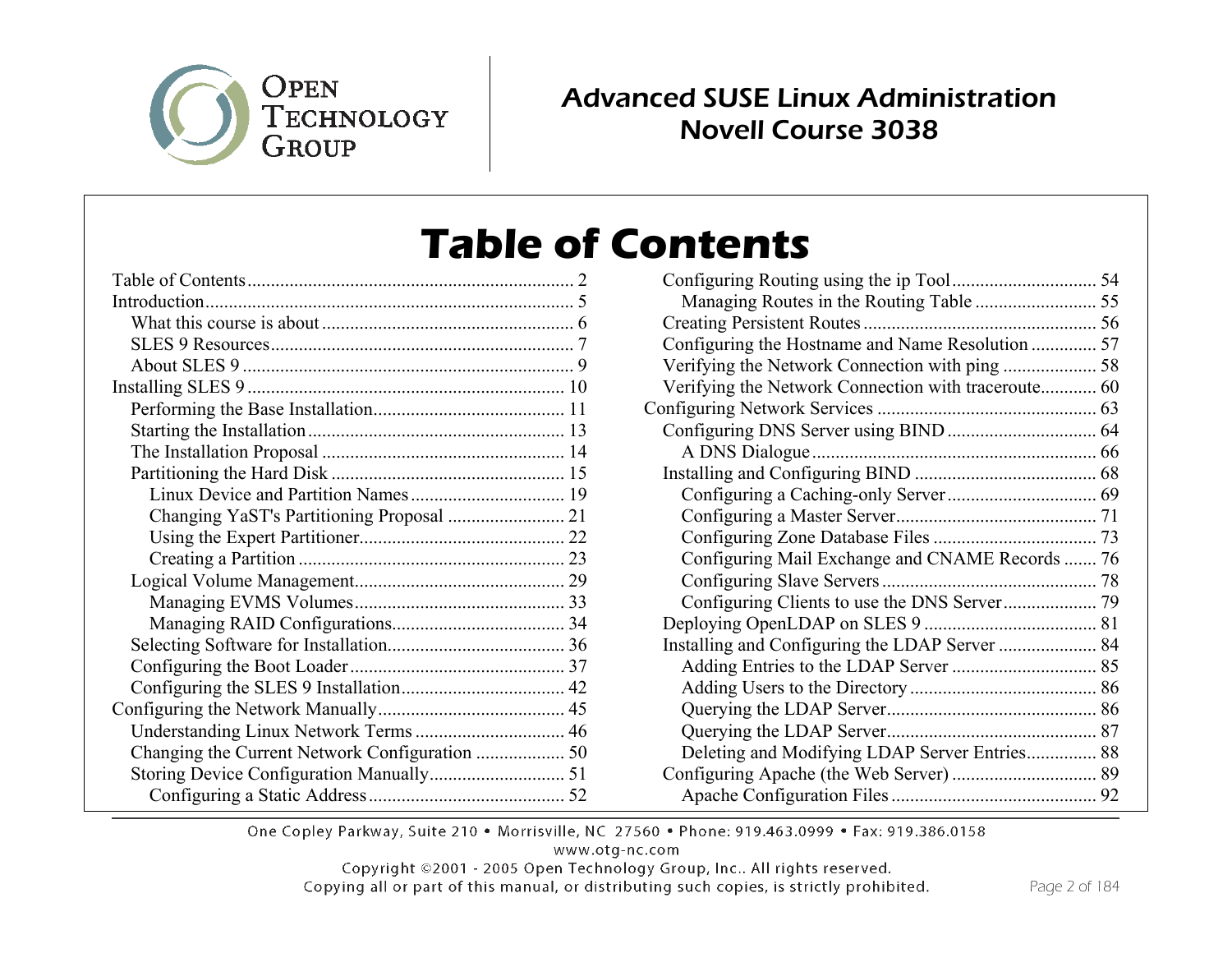

## Advanced SUSE Linux Administration Novell Course 3038

# **Table of Contents**

| Changing YaST's Partitioning Proposal  21 |  |
|-------------------------------------------|--|
|                                           |  |
|                                           |  |
|                                           |  |
|                                           |  |
|                                           |  |
|                                           |  |
|                                           |  |
|                                           |  |
|                                           |  |
|                                           |  |
|                                           |  |
|                                           |  |
|                                           |  |

| Configuring the Hostname and Name Resolution  57    |  |
|-----------------------------------------------------|--|
|                                                     |  |
| Verifying the Network Connection with traceroute 60 |  |
|                                                     |  |
|                                                     |  |
|                                                     |  |
|                                                     |  |
|                                                     |  |
|                                                     |  |
|                                                     |  |
| Configuring Mail Exchange and CNAME Records  76     |  |
|                                                     |  |
|                                                     |  |
|                                                     |  |
|                                                     |  |
|                                                     |  |
|                                                     |  |
|                                                     |  |
|                                                     |  |
| Deleting and Modifying LDAP Server Entries 88       |  |
|                                                     |  |
|                                                     |  |

One Copley Parkway, Suite 210 . Morrisville, NC 27560 . Phone: 919.463.0999 . Fax: 919.386.0158

www.otg-nc.com

Copyright ©2001 - 2005 Open Technology Group, Inc.. All rights reserved.

Copying all or part of this manual, or distributing such copies, is strictly prohibited.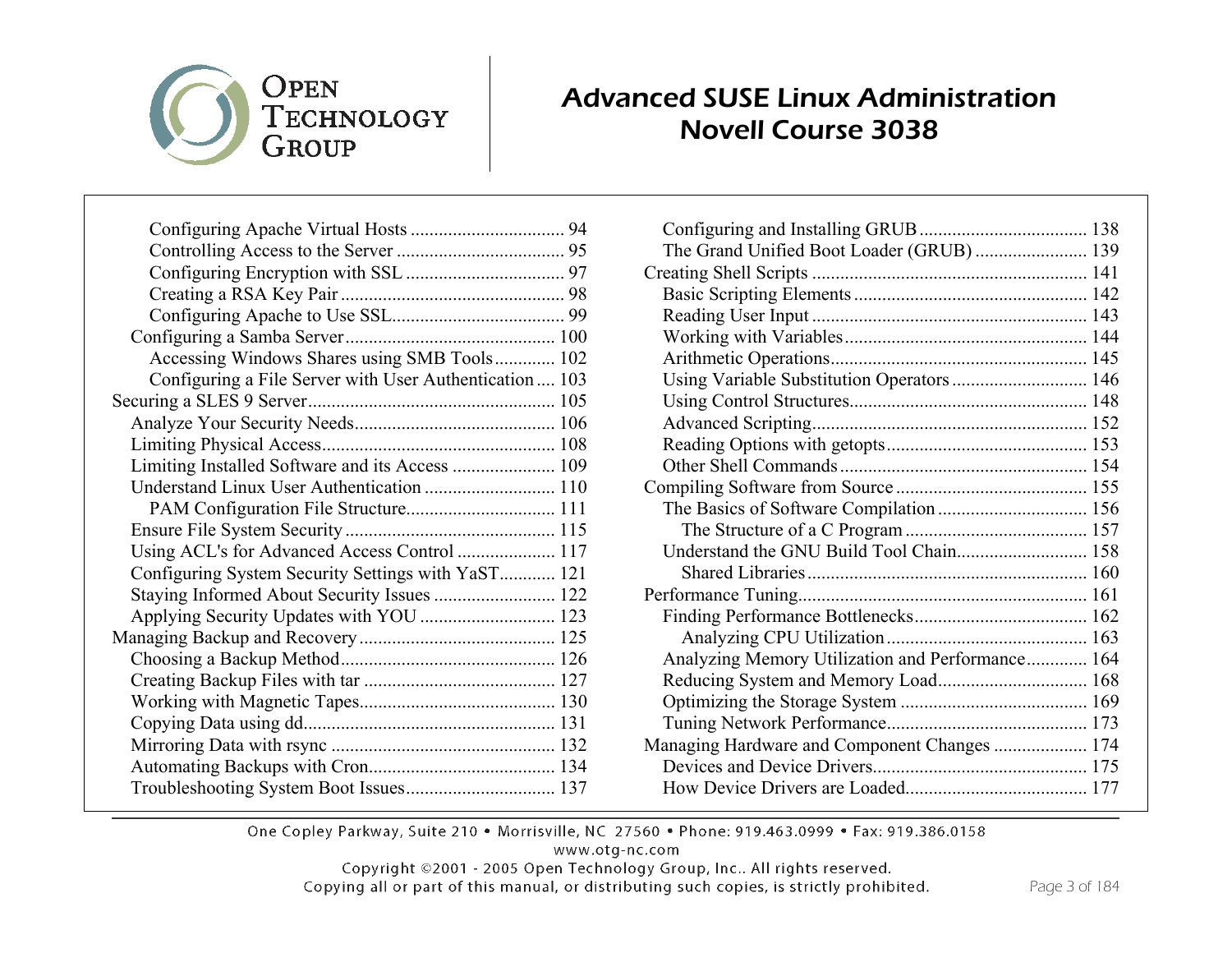# OPEN TECHNOLOGY GROUP

#### Advanced SUSE Linux Administration Novell Course 3038

| Accessing Windows Shares using SMB Tools 102<br>Configuring a File Server with User Authentication  103 |
|---------------------------------------------------------------------------------------------------------|
|                                                                                                         |
|                                                                                                         |
|                                                                                                         |
|                                                                                                         |
|                                                                                                         |
|                                                                                                         |
|                                                                                                         |
|                                                                                                         |
|                                                                                                         |
|                                                                                                         |
| Limiting Installed Software and its Access  109                                                         |
| Understand Linux User Authentication  110                                                               |
|                                                                                                         |
|                                                                                                         |
| Using ACL's for Advanced Access Control  117                                                            |
| Configuring System Security Settings with YaST 121                                                      |
| Staying Informed About Security Issues  122                                                             |
| Applying Security Updates with YOU  123                                                                 |
|                                                                                                         |
|                                                                                                         |
|                                                                                                         |
|                                                                                                         |
|                                                                                                         |
|                                                                                                         |
|                                                                                                         |
|                                                                                                         |

| The Grand Unified Boot Loader (GRUB)  139        |  |
|--------------------------------------------------|--|
|                                                  |  |
|                                                  |  |
|                                                  |  |
|                                                  |  |
|                                                  |  |
| Using Variable Substitution Operators  146       |  |
|                                                  |  |
|                                                  |  |
|                                                  |  |
|                                                  |  |
|                                                  |  |
|                                                  |  |
|                                                  |  |
| Understand the GNU Build Tool Chain 158          |  |
|                                                  |  |
|                                                  |  |
|                                                  |  |
|                                                  |  |
| Analyzing Memory Utilization and Performance 164 |  |
| Reducing System and Memory Load 168              |  |
|                                                  |  |
|                                                  |  |
| Managing Hardware and Component Changes  174     |  |
|                                                  |  |
|                                                  |  |
|                                                  |  |

One Copley Parkway, Suite 210 . Morrisville, NC 27560 . Phone: 919.463.0999 . Fax: 919.386.0158

www.otg-nc.com

Copyright ©2001 - 2005 Open Technology Group, Inc.. All rights reserved.

Copying all or part of this manual, or distributing such copies, is strictly prohibited.